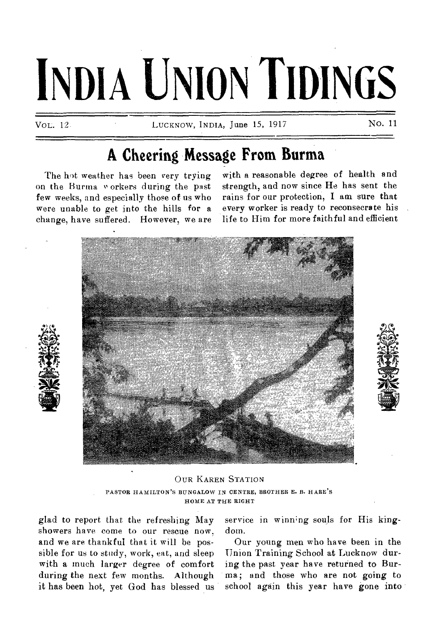# **INDIA UNION TIDINGS**

VOL. 12.

LUCKNOW **NDIA, June** 15, 1917 **No. 11** 

## **A Cheering Message From Burma**

**The hot weather has been very trying**  on the Burma *v* orkers during the past **few weeks, and especially those of us who were unable to get into the hills for a change, have suffered. However, we are**  **with a reasonable degree of health and strength, and now since He has sent the rains for our protection, I am sure that every worker is ready to reconsecrate his life to Him for more faithful and efficient** 







**glad to report that the refreshing May showers have come to our rescue now, and we are thankful that it will be possible for us to study, work, eat, and sleep with a much larger degree of comfort during the next few months. Although it has been hot, yet God has blessed us**  service in winning souls for His king**dom.** 

**Our young men who have been in the Union Training School at Lucknow during the past year have returned to Burma; and those who are not going to**  school again this year have gone into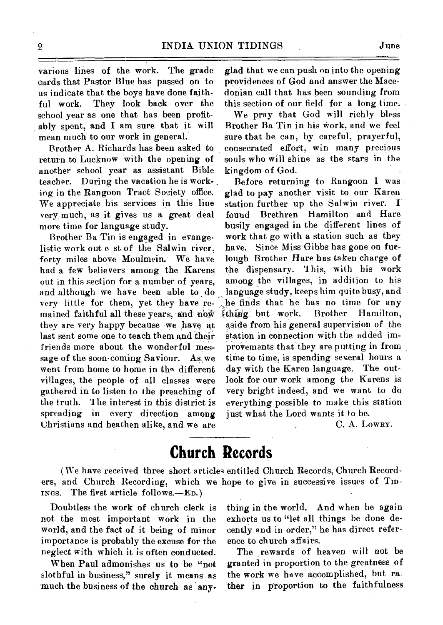various lines of the work. The grade cards that Pastor Blue has passed on to us indicate that the boys have done faithful work. They look back over the school year as one that has been profitably spent, and I am sure that it will mean much to our work in general.

Brother A. Richards has been asked to return to Lucknow with the opening of another school year as assistant Bible teacher. During the vacation he is work- , ing in the Rangoon Tract Society office. We appreciate his services in this line very much, as it gives us a great deal more time for language study.

Brother Ba Tin is engaged in evangelistic work out e st of the Salwin river, forty miles above Moulmein. We have had a few believers among the Karens out in this section for a number of years, and although we have been able to do very little for them, yet they have remained faithful all these years, and now they are very happy because we have at last sent some one to teach them and theirfriends more about the wonderful message of the soon-coming Saviour. As. we went from home to home in the different villages, the people of all classes were gathered in to listen to the preaching of the truth. The interest in this district is spreading in every direction among Christians and heathen alike, and we are glad that we can push on into the opening providences of God and answer the Macedonian call that has been sounding from this section of our field for a long time.

We pray that God will richly bless Brother Ba Tin in his Work, and we feel sure that he can, by careful, prayerful, consecrated effort, win many precious souls who will shine as the stars in the kingdom of God.

Before returning to Rangoon I was glad to pay another visit to our Karen station further up the Salwin river. found Brethren Hamilton and Hare busily engaged in the different lines of work that go with a station such as they have. Since Miss Gibbs has gone on furlough Brother Hare has taken charge of the dispensary. 'This, with his work among the villages, in addition to his language study, keeps him quite busy, and he finds that he has no time for any thing but work. Brother Hamilton, thing but work. Brother Hamilton, aside from his general supervision of the station in connection with the added improVements that they are putting in from time to time, is spending several hours a day with the Karen language. The outlook for our work among the Karens is very bright indeed, and we want to do everything possible to make this station just what the Lord wants it to be.

C. A. LOWRY.

## **Church Records**

ers, and Church Recording, which we hope to give in successive issues of TID-INGS. The first article follows.—ED.) (We have received three short articles entitled Church Records, Church Record-

Doubtless the work of church clerk is not the most important work in the world, and the fact of it being of minor importance is probably the excuse for the neglect with which it is often conducted.

When Paul admonishes us to be "not slothful in business," surely it means as much the business of the church as *any-* thing in the world. And when he again exhorts us to "let all things be done decently and in order," he has direct reference to church affairs.

The rewards of heaven will not be granted in proportion to the greatness of the work we have accomplished, but rather in proportion to the faithfulness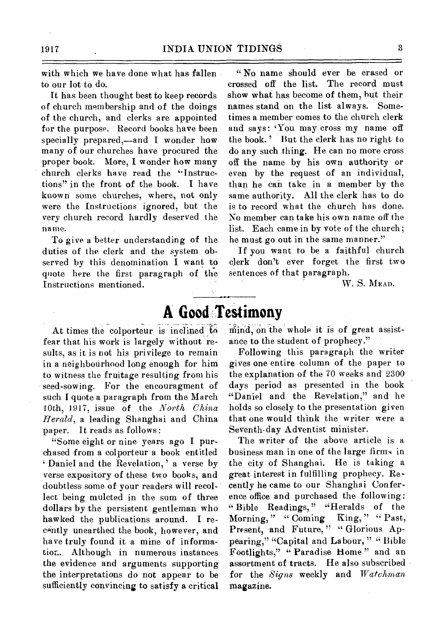with which we have done what has fallen to our lot to do.

It has been thought best to keep records of church membership and of the doings of the church, and clerks are appointed for the purpose. Record books have been specially prepared,—and I wonder how many of our churches have procured the proper book. More, I wonder how many church clerks have read the "Instructions" in the front of the book. I have known some churches, where, not only were the Instructions ignored, but the very church record hardly deserved the name.

To give abetter understanding of the duties of the clerk and the system observed by this denomination I want to quote here the first paragraph of the Instructions mentioned.

" No name should ever be erased or crossed off the list. The record must show what has become of them, hut their names stand on the list always. Sometimes a member comes to the church clerk and says: 'You may cross my name off the book.' But the clerk has no right to do any such thing. He can no more cross off the name by his own authority or even by the request of an individual, than he can take in a member by the same authority. MI the clerk has to do is to record what the church has done. No member can take his own name off the list. Each came in by vote of the church; he must go out in the same manner."

If you want to be a faithful church clerk don't ever forget the first two sentences of that paragraph.

W. S. MEAD.

# **A Good Testimony**

At times the colporteur is inclined to fear that his work is largely without results, as it is not his privilege to remain in a neighbourhood long enough for him to witness the fruitage resulting from his seed-sowing. For the encouragment of such I quote a paragraph from the March 10th, 1917, issue of the *North China Herald,* a leading Shanghai and China paper. It reads as follows :

"Some eight or nine years ago I purchased from a colporteur a book entitled Daniel and the Revelation,' a verse by verse expository of these two books, and doubtless some of your readers will recollect being mulcted in the sum of three dollars by the persistent gentleman who hawked the publications around. I recantly unearthed the book, however, and have truly found it a mine of information. Although in numerous instances the evidence and arguments supporting the interpretations do not appear to be sufficiently convincing to satisfy a critical mind, on the whole it is of great assistance to the student of prophecy."

Following this paragraph the writer gives one entire column of the paper to the explanation of the 70 weeks and 2300 days period as presented in the book "Daniel and the Revelation," and he holds so closely to the presentation given that one would think the writer were a Seventh•day Adventist minister.

The writer of the above article is a business man in one of the large firms in the city of Shanghai. He is taking a great interest in fulfilling prophecy. Recently he came to our Shanghai Conference office and purchased the following: " Bible Readings," "Heralds of the Morning," " Coming King," " Past, Present, and Future," "Glorious Appearing," "Capital and Labour, " " Bible Footlights," "Paradise Home" and an assortment of tracts. He also subscribed for the *Signs* weekly and *Watchman*  magazine.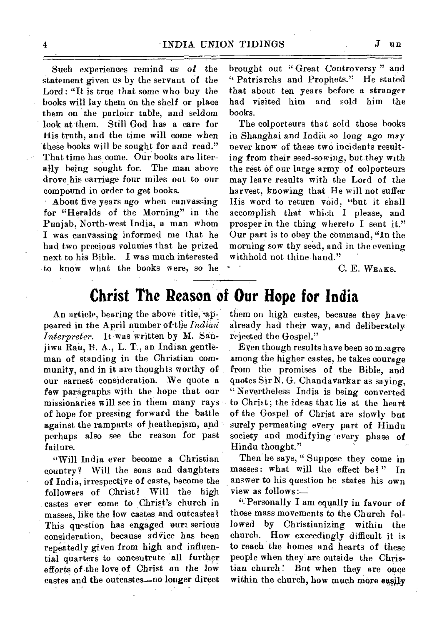Such experiences remind us of the statement given us by the servant of the Lord : "It is true that some who buy the books will lay them on the shelf or place them on the parlour table, and seldom look at them. Still God has a care for His truth, and the time will come when these hooks will be sought for and read." That time has come. Our books are literally being sought for. The man above drove his carriage four miles out to our compound in order to get books.

About five years ago when canvassing for "Heralds of the Morning" in the Punjab, North-west India, a man whom I was canvassing informed me that he had two precious volumes that he prized next to his Bible. I was much interested to know what the books were, so be brought out "Great Controversy" and " Patriarchs and Prophets." He stated that about ten years before a stranger had visited him and sold him the books.

The colporteurs that sold those books in Shanghai and India so long ago may never know of these two incidents resulting from their seed-sowing, but they with the rest of our large army of colporteurs may leave results with the Lord of the harvest, knowing that He will not suffer His word to return void, "but it shall accomplish that which I please, and prosper in the thing whereto I sent it." Our part is to obey the command, "In the morning sow thy seed, and in the evening withhold not thine hand."

C. E. WEAKS.

## **Christ The Reason of Our Hope for India**

An article, bearing the above title, appeared in the April number of the *Indian Interpreter.* It was written by M. Sanjiwa Rau, B. A., L. T., an Indian gentleman of standing in the Christian community, and in it are thoughts worthy of our earnest consideration. We quote a few paragraphs with the hope that our missionaries will see in them many rays of hope for presSing forward the battle against the ramparts of heathenism, and perhaps also see the reason for past failure.

"Will India ever become a Christian country? Will the sons and daughters of India., irrespective of caste, become the followers of Christ? Will the high castes ever come to Christ's church in masses, like the low castes. and outcastes? This question has engaged our serious consideration, because advice has been repeatedly given from high and influential quarters to concentrate all further efforts of the love of Christ on the low castes and the outcastes—no longer direct

them on high castes, because they have already had their way, and deliberately rejected the Gospel."

Even though results have been so meagre among the higher castes, he takes courage from the promises of the Bible, and quotes Sir N. G. Chandavarkar as saying, " Nevertheless India is being converted to Christ; the ideas that lie at the heart of the Gospel of Christ are slowly but surely permeating every part of Hindu society and modifying every- phase of Hindu thought."

Then'he says, " Suppose they come in masses: what will the effect be?" In answer to his question he states his own view as follows :—

"- Personally I am equally in favour of those mass movements to the Church followed by Christianizing within the church. How exceedingly difficult it is to reach the homes and hearts of these people when they are outside the Christian church ! But when they are once within the church, how much more easily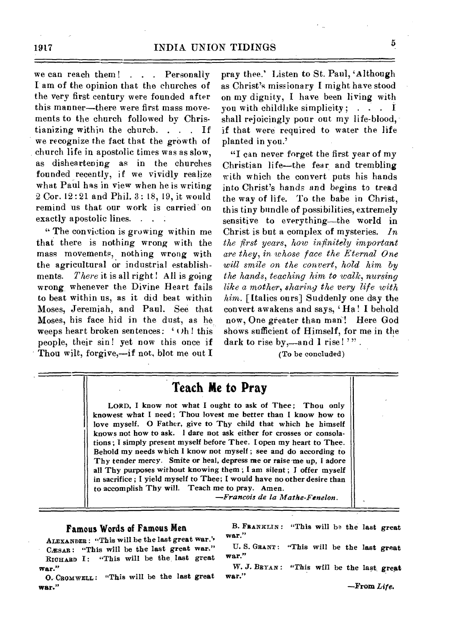we can reach them! . . . Personally I am of the opinion that the churches of the very first century were founded after this manner—there were first mass movements to the church followed by Christianizing within the church. . . . If we recognize the fact that the growth of church life in apostolic times was as slow, as disheartening as in the churches founded recently, if we vividly realize what Paul has in view when he is writing 2 Cor. 12 : 21 and Phil. 3 : 18, 19, it would remind us that our work is carried on exactly apostolic lines. . . .

" The conviction is growing within me that there is nothing wrong with the mass movements, nothing wrong with the agricultural or industrial establishments. *There* it is all right ! All is going wrong whenever the Divine Heart fails to beat within us, as it did beat within Moses, Jeremiah, and Paul. See that Moses, his face hid in the dust, as he. weeps heart broken sentences:  $\cdot$  Oh! this people, their sin! yet now this once if Thou wilt, forgive,—if not, blot me out I

pray thee.' Listen to St. Paul, 'Although as Christ's missionary I might have stood on my dignity, I have been living with you with childlike simplicity;  $\ldots$  I shall rejoicingly pour out my life-blood, if that were required to water the life planted in you.'

"I can never forget the first year of my Christian life—the fear and trembling with which the convert puts his hands into Christ's hands and begins to tread the way of life. To the babe in Christ, this tiny bundle of possibilities, extremely sensitive to everything—the world in Christ is but a complex of mysteries. *In the first years, how infinitely important are they, in whose face the Eternal One will smile on the convert, hold him by the hands, teaching him to walk, nursing like a mother, sharing the very life with him.* [Italics ours] Suddenly one day the convert awakens and says, 'Ha! I behold now, One greater than man! Here God shows sufficient of Himself, for me in the dark to rise by,—and  $l$  rise! '".

(To be concluded)

### **Teach Me to Pray**

LORD, I know not what I ought to ask of Thee; Thou only knowest what I need ; Thou lovest me better than I know how to love myself. 0 Father, give to Thy child that which he himself knows not how to ask. I dare not ask either for crosses or consolations ; I simply present myself before Thee. I open my heart to Thee. Behold my needs which I know not myself ; see and do according to Thy tender mercy. Smite or heal, depress me or raise-me up, I adore all Thy purposes without knowing them ; I am silent ; I offer myself in sacrifice ; I yield myself to Thee; I would have no other desire than to accomplish Thy will. Teach me to pray. Amen.

*—Francois de la Mathe-Fenelon.* 

#### **Famous Words of Famous Men**

ALEXANDER : "This will.be the last great war." CÆSAR: "This will be the last great war." RICHARD I: "This will be the, last great war."

O. CROMWELL: "This will be the last great war."

B. FRANKLIN : "This will bs the last great war."

U. S. GRANT: "This will be the last great war."

W. J. BRYAN : "This will be the last great war."

—From *Life.*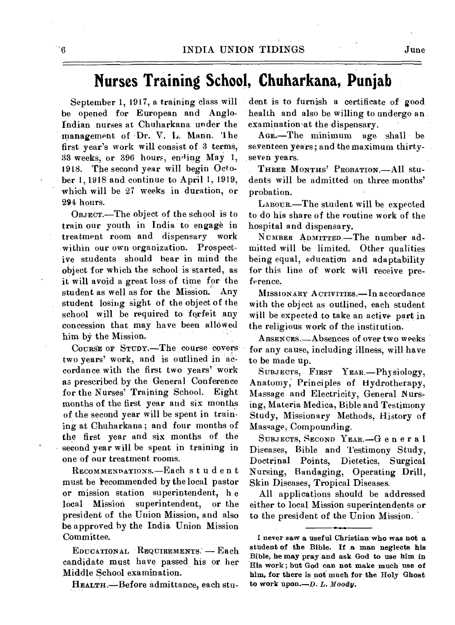## **Nurses Training School, Chuharkana, Punjab**

September 1, 1917, a training class will be opened for European and Anglo-Indian nurses at Chuharkana under the management of Dr. V. L. Mann. '1 he first year's work will consist of 3 terms, 33 weeks, or 396 hours, ending May 1, 1918. The second year will begin October 1, 1918 and continue to April 1, 1919, which will be 27 weeks in duration, or 294 hours.

OBJECT.—The object of the school is to train our youth in India to engage in treatment room and dispensary work within our own organization. Prospective students should bear in mind the object for which the school is started, as it will avoid a great loss of time for the student as well as for the Mission. Any student losing sight of the object of the school will be required to forfeit any concession that may have been allowed him by the Mission.

COURSE OF STUDY.—The course covers two years' work, and is outlined in accordance with the first two years' work as prescribed by the General Conference for the Nurses' Training School. Eight months of the first year and six months of the second year will be spent in training at Chuharkana; and four months of the first year and six months of the second year will be spent in training in one of our treatment rooms.

RECOMMENDATIONS.—Each student must be recommended by the local pastor or mission station superintendent, h e local Mission superintendent, or the president of the Union Mission, and also be approved by the India Union Mission Committee.

EDUCATIONAL REQUIREMENTS. — Each candidate must have passed his or her Middle School examination.

HEALTH.—Before admittance, each stu-

dent is to furnish a certificate of good health and also be willing to undergo an examination-at the dispensary.

AGE.-The minimum age shall be seventeen years; and the maximum thirtyseven years.

THREE MONTHS' PROBATION.—All students will be admitted on three months' probation.

LABOUR.—The student will be expected to, do his share of the routine work of the hospital and dispensary.

NUMBER ADMITTED.—The number admitted will be limited. Other qualities being equal, education and adaptability for this line of work will receive preference.

MISSIONARY ACTIVITIES.—In accordance with the object as outlined, each student will be expected to take an active part in the religious work of the institution.

ABSENCES.-Absences of over two weeks for any cause, including illness, will have to be made up.

SUBJECTS, FIRST YEAR.—Physiology, Anatomy; Principles of Hydrotherapy, Massage and Electricity, General Nursing, Materia Medica, Bible and Testimony Study, Missionary Methods, History of Massage, Compounding.

SUBJECTS, SECOND YEAR.—General Diseases, Bible and Testimony Study, Doctrinal Points, Dietetics, Surgical Nursing, Bandaging, Operating Drill, Skin Diseases, Tropical Diseases.

All applications should be addressed either to local Mission superintendents or to the president of the Union Mission.

I never saw a useful Christian who was not a student of the Bible. If a man neglects his Bible, he may pray and ask God to use him in His work ; but God can not make much use of him, for there is not much for the. Holy Ghost to work upon.—D. *L. Moody.*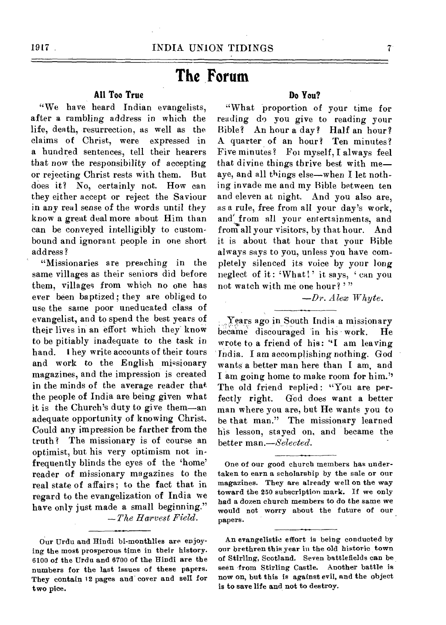## **The Forum**

#### **All Too True**

"We have heard Indian evangelists, after a rambling address in which the life, death, resurrection, as well as the claims of Christ, were expressed in a hundred sentences, tell their hearers that now the responsibility of accepting or rejecting Christ rests with them. But does it? No, certainly not. How can they either accept or reject the Saviour in any real sense of the words until they know a great deal more about Him than can be conveyed intelligibly to custombound and ignorant people in one short address?

"Missionaries are preaching in the same villages as their seniors did before them, villages from which no one has ever been baptized; they are obliged to use the same poor uneducated class of evangelist, and to spend the best years of their lives in an effort which they know to be pitiably inadequate to the task in hand. I hey write accounts of their tours and work to the English missionary magazines, and the impression is created in the minds of the average reader that the people of India are being given what it is the Church's duty to give them—an adequate opportunity of knowing Christ. Could any impression be farther from the truth? The missionary is of course an optimist, but his very optimism not infrequently blinds the eyes of the 'home' reader of missionary magazines to the real state of affairs; to the fact that in regard to the evangelization of India we have only just made a small beginning." *—The Harvest Field.* 

Our Urdu and Hindi bi-monthlies are enjoying the most prosperous time in their history. 6100 of the Urdu and 6700 of the Hindi are the numbers for the last issues of these papers. They contain 12 pages and cover and sell for two pice.

#### **Do You?**

"What proportion of your time for reading do you give to reading your Bible? An hour a day? Half an hour? A quarter of an hour? Ten minutes? Five minutes? Foi myself, I always feel that divine things thrive best with me aye, and all things else—when I let nothing invade me and my Bible between ten and eleven at night. And you also are, as a rule, free from all your day's work, and' from all your entertainments, and from all your visitors, by that hour. And it is about that hour that your Bible always says to you, unless you have completely silenced its voice by your long neglect of it: 'What!' it says, ' can you not watch with me one hour?"

*—Dr. Alex Whyte.* 

Years ago in South India a missionary became discouraged in his work. He wrote to a friend of his: "I am leaving India. I am accomplishing nothing. God wants a better man here than I am, and I am going home to make room for him.'5 The old friend replied: "You are per-<br>fectly right. God does want a better God does want a better man where you are, but He wants you to be that man." The missionary learned his lesson, stayed on, and became the better *man.—Selected.* 

One of our good church members has undertaken to earn a scholarship by the sale or our magazines. They are already well on the way toward the 250 subscription mark. If we only had a *dozen* church members to do the same we would not worry about the future of our papers.

An evangelistic effort is being conducted by our brethren this year in the old historic town of Stirling, Scotland. Seven battlefields can be seen from Stirling Castle. Another battle is now on, but this is against evil, and the object is to save life and not to destroy.